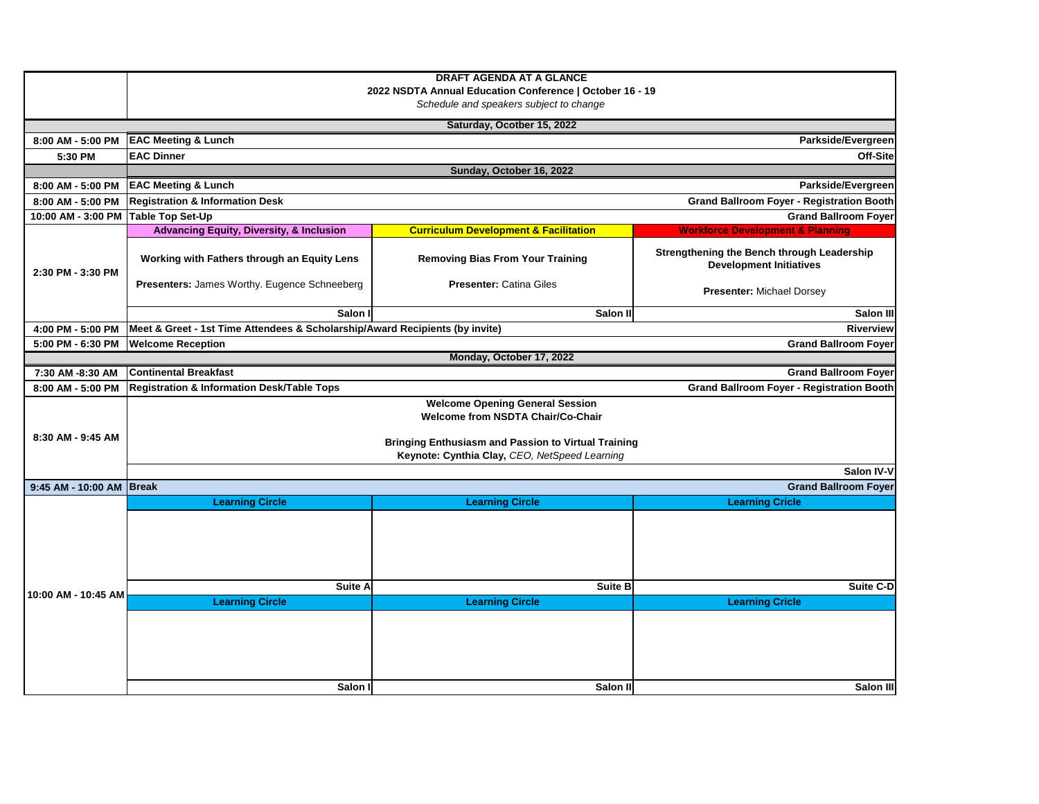|                          | <b>DRAFT AGENDA AT A GLANCE</b><br>2022 NSDTA Annual Education Conference   October 16 - 19<br>Schedule and speakers subject to change |                                                  |                                                                              |  |  |  |  |  |
|--------------------------|----------------------------------------------------------------------------------------------------------------------------------------|--------------------------------------------------|------------------------------------------------------------------------------|--|--|--|--|--|
|                          | Saturday, Ocotber 15, 2022                                                                                                             |                                                  |                                                                              |  |  |  |  |  |
| 8:00 AM - 5:00 PM        | Parkside/Evergreen<br><b>EAC Meeting &amp; Lunch</b>                                                                                   |                                                  |                                                                              |  |  |  |  |  |
| 5:30 PM                  | <b>EAC Dinner</b>                                                                                                                      |                                                  | Off-Sitel                                                                    |  |  |  |  |  |
|                          | Sunday, October 16, 2022                                                                                                               |                                                  |                                                                              |  |  |  |  |  |
| 8:00 AM - 5:00 PM        | <b>EAC Meeting &amp; Lunch</b>                                                                                                         |                                                  | Parkside/Evergreen                                                           |  |  |  |  |  |
| 8:00 AM - 5:00 PM        | <b>Registration &amp; Information Desk</b><br><b>Grand Ballroom Foyer - Registration Booth</b>                                         |                                                  |                                                                              |  |  |  |  |  |
| 10:00 AM - 3:00 PM       | <b>Grand Ballroom Foyer</b><br>Table Top Set-Up                                                                                        |                                                  |                                                                              |  |  |  |  |  |
|                          | <b>Advancing Equity, Diversity, &amp; Inclusion</b>                                                                                    | <b>Curriculum Development &amp; Facilitation</b> | <b>Workforce Development &amp; Planning</b>                                  |  |  |  |  |  |
| 2:30 PM - 3:30 PM        | Working with Fathers through an Equity Lens                                                                                            | <b>Removing Bias From Your Training</b>          | Strengthening the Bench through Leadership<br><b>Development Initiatives</b> |  |  |  |  |  |
|                          | Presenters: James Worthy. Eugence Schneeberg                                                                                           | <b>Presenter: Catina Giles</b>                   | <b>Presenter: Michael Dorsey</b>                                             |  |  |  |  |  |
|                          | Salon I                                                                                                                                | Salon II                                         |                                                                              |  |  |  |  |  |
| 4:00 PM - 5:00 PM        | Meet & Greet - 1st Time Attendees & Scholarship/Award Recipients (by invite)<br><b>Riverview</b>                                       |                                                  |                                                                              |  |  |  |  |  |
| 5:00 PM - 6:30 PM        | <b>Welcome Reception</b><br><b>Grand Ballroom Foyer</b>                                                                                |                                                  |                                                                              |  |  |  |  |  |
|                          |                                                                                                                                        | Monday, October 17, 2022                         |                                                                              |  |  |  |  |  |
| 7:30 AM -8:30 AM         | <b>Continental Breakfast</b>                                                                                                           |                                                  | <b>Grand Ballroom Foyer</b>                                                  |  |  |  |  |  |
| 8:00 AM - 5:00 PM        | <b>Registration &amp; Information Desk/Table Tops</b>                                                                                  |                                                  | <b>Grand Ballroom Foyer - Registration Booth</b>                             |  |  |  |  |  |
|                          | <b>Welcome Opening General Session</b><br><b>Welcome from NSDTA Chair/Co-Chair</b>                                                     |                                                  |                                                                              |  |  |  |  |  |
| 8:30 AM - 9:45 AM        | <b>Bringing Enthusiasm and Passion to Virtual Training</b>                                                                             |                                                  |                                                                              |  |  |  |  |  |
|                          | Keynote: Cynthia Clay, CEO, NetSpeed Learning                                                                                          |                                                  |                                                                              |  |  |  |  |  |
|                          | Salon IV-V                                                                                                                             |                                                  |                                                                              |  |  |  |  |  |
| 9:45 AM - 10:00 AM Break | <b>Grand Ballroom Foyer</b>                                                                                                            |                                                  |                                                                              |  |  |  |  |  |
|                          | <b>Learning Circle</b>                                                                                                                 | <b>Learning Circle</b>                           | <b>Learning Cricle</b>                                                       |  |  |  |  |  |
| 10:00 AM - 10:45 AM      |                                                                                                                                        |                                                  |                                                                              |  |  |  |  |  |
|                          |                                                                                                                                        |                                                  |                                                                              |  |  |  |  |  |
|                          |                                                                                                                                        |                                                  |                                                                              |  |  |  |  |  |
|                          | Suite A                                                                                                                                | <b>Suite B</b>                                   | Suite C-D                                                                    |  |  |  |  |  |
|                          | <b>Learning Circle</b>                                                                                                                 | <b>Learning Circle</b>                           | <b>Learning Cricle</b>                                                       |  |  |  |  |  |
|                          |                                                                                                                                        |                                                  |                                                                              |  |  |  |  |  |
|                          |                                                                                                                                        |                                                  |                                                                              |  |  |  |  |  |
|                          |                                                                                                                                        |                                                  |                                                                              |  |  |  |  |  |
|                          | Salon I                                                                                                                                | Salon III                                        | Salon III                                                                    |  |  |  |  |  |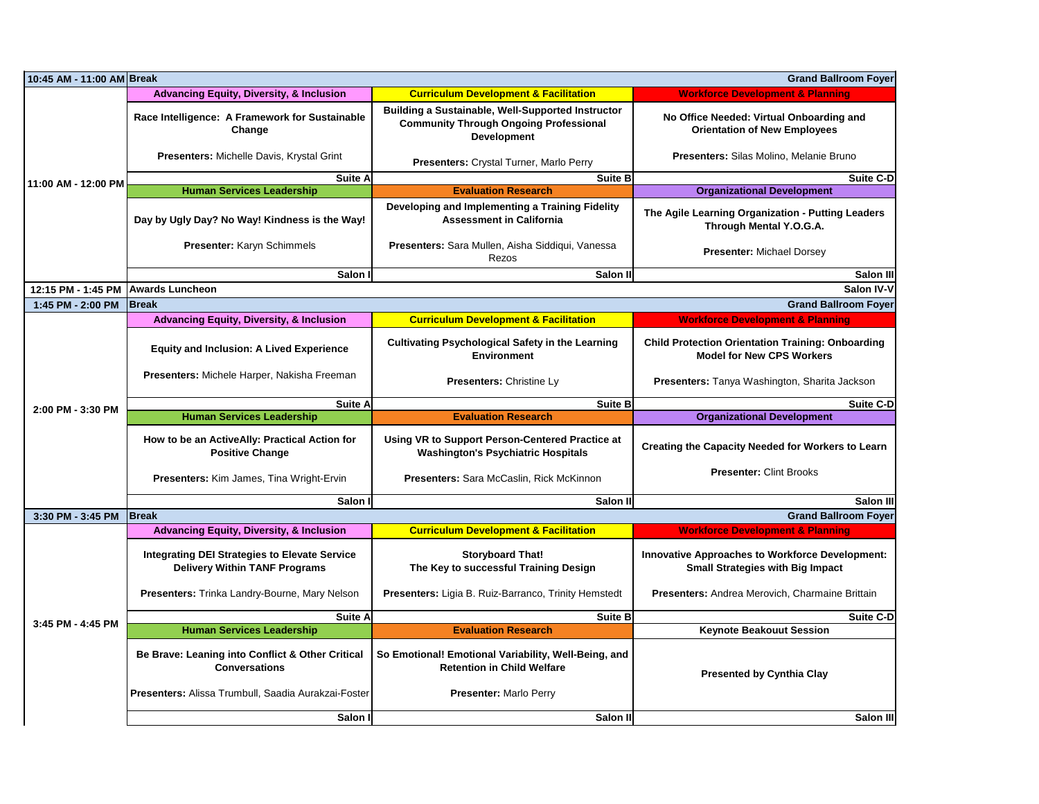| 10:45 AM - 11:00 AM Break<br><b>Grand Ballroom Foyer</b> |                                                                                                         |                                                                                                                                 |                                                                                              |  |  |  |  |
|----------------------------------------------------------|---------------------------------------------------------------------------------------------------------|---------------------------------------------------------------------------------------------------------------------------------|----------------------------------------------------------------------------------------------|--|--|--|--|
| 11:00 AM - 12:00 PM                                      | <b>Advancing Equity, Diversity, &amp; Inclusion</b><br><b>Curriculum Development &amp; Facilitation</b> |                                                                                                                                 | <b>Workforce Development &amp; Planning</b>                                                  |  |  |  |  |
|                                                          | Race Intelligence: A Framework for Sustainable<br>Change                                                | <b>Building a Sustainable, Well-Supported Instructor</b><br><b>Community Through Ongoing Professional</b><br><b>Development</b> | No Office Needed: Virtual Onboarding and<br><b>Orientation of New Employees</b>              |  |  |  |  |
|                                                          | Presenters: Michelle Davis, Krystal Grint                                                               | Presenters: Crystal Turner, Marlo Perry                                                                                         | Presenters: Silas Molino, Melanie Bruno                                                      |  |  |  |  |
|                                                          | Suite A                                                                                                 | Suite B                                                                                                                         | <b>Suite C-D</b>                                                                             |  |  |  |  |
|                                                          | <b>Human Services Leadership</b>                                                                        | <b>Evaluation Research</b>                                                                                                      | <b>Organizational Development</b>                                                            |  |  |  |  |
|                                                          | Day by Ugly Day? No Way! Kindness is the Way!                                                           | Developing and Implementing a Training Fidelity<br><b>Assessment in California</b>                                              | The Agile Learning Organization - Putting Leaders<br>Through Mental Y.O.G.A.                 |  |  |  |  |
|                                                          | Presenter: Karyn Schimmels                                                                              | Presenters: Sara Mullen, Aisha Siddiqui, Vanessa<br>Rezos                                                                       | <b>Presenter: Michael Dorsey</b>                                                             |  |  |  |  |
|                                                          | Salon I                                                                                                 | Salon III                                                                                                                       |                                                                                              |  |  |  |  |
| 12:15 PM - 1:45 PM                                       | <b>Awards Luncheon</b><br>Salon IV-V                                                                    |                                                                                                                                 |                                                                                              |  |  |  |  |
| 1:45 PM - 2:00 PM                                        | <b>Grand Ballroom Foyer</b><br><b>Break</b>                                                             |                                                                                                                                 |                                                                                              |  |  |  |  |
|                                                          | <b>Advancing Equity, Diversity, &amp; Inclusion</b>                                                     | <b>Curriculum Development &amp; Facilitation</b>                                                                                | <b>Workforce Development &amp; Planning</b>                                                  |  |  |  |  |
|                                                          | <b>Equity and Inclusion: A Lived Experience</b>                                                         | <b>Cultivating Psychological Safety in the Learning</b><br><b>Environment</b>                                                   | <b>Child Protection Orientation Training: Onboarding</b><br><b>Model for New CPS Workers</b> |  |  |  |  |
|                                                          | Presenters: Michele Harper, Nakisha Freeman                                                             | Presenters: Christine Ly                                                                                                        | Presenters: Tanya Washington, Sharita Jackson                                                |  |  |  |  |
|                                                          |                                                                                                         |                                                                                                                                 |                                                                                              |  |  |  |  |
|                                                          | <b>Suite A</b>                                                                                          | <b>Suite B</b>                                                                                                                  | <b>Suite C-D</b>                                                                             |  |  |  |  |
| 2:00 PM - 3:30 PM                                        | <b>Human Services Leadership</b>                                                                        | <b>Evaluation Research</b>                                                                                                      | <b>Organizational Development</b>                                                            |  |  |  |  |
|                                                          | How to be an ActiveAlly: Practical Action for<br><b>Positive Change</b>                                 | Using VR to Support Person-Centered Practice at<br><b>Washington's Psychiatric Hospitals</b>                                    | Creating the Capacity Needed for Workers to Learn                                            |  |  |  |  |
|                                                          | Presenters: Kim James, Tina Wright-Ervin                                                                | Presenters: Sara McCaslin, Rick McKinnon                                                                                        | <b>Presenter: Clint Brooks</b>                                                               |  |  |  |  |
|                                                          | Salon I                                                                                                 | Salon II                                                                                                                        | Salon III                                                                                    |  |  |  |  |
| 3:30 PM - 3:45 PM                                        | <b>Break</b>                                                                                            |                                                                                                                                 | <b>Grand Ballroom Foyer</b>                                                                  |  |  |  |  |
|                                                          | <b>Advancing Equity, Diversity, &amp; Inclusion</b>                                                     | <b>Curriculum Development &amp; Facilitation</b>                                                                                | <b>Workforce Development &amp; Planning</b>                                                  |  |  |  |  |
|                                                          | <b>Integrating DEI Strategies to Elevate Service</b><br><b>Delivery Within TANF Programs</b>            | <b>Storyboard That!</b><br>The Key to successful Training Design                                                                | Innovative Approaches to Workforce Development:<br><b>Small Strategies with Big Impact</b>   |  |  |  |  |
|                                                          | Presenters: Trinka Landry-Bourne, Mary Nelson                                                           | Presenters: Ligia B. Ruiz-Barranco, Trinity Hemstedt                                                                            | Presenters: Andrea Merovich, Charmaine Brittain                                              |  |  |  |  |
|                                                          | Suite A                                                                                                 | <b>Suite B</b>                                                                                                                  | <b>Suite C-D</b>                                                                             |  |  |  |  |
| 3:45 PM - 4:45 PM                                        | <b>Human Services Leadership</b>                                                                        | <b>Evaluation Research</b>                                                                                                      | <b>Keynote Beakouut Session</b>                                                              |  |  |  |  |
|                                                          | Be Brave: Leaning into Conflict & Other Critical<br><b>Conversations</b>                                | So Emotional! Emotional Variability, Well-Being, and<br><b>Retention in Child Welfare</b>                                       | <b>Presented by Cynthia Clay</b>                                                             |  |  |  |  |
|                                                          | Presenters: Alissa Trumbull, Saadia Aurakzai-Foster<br>Salon I                                          | <b>Presenter: Marlo Perry</b><br>Salon III                                                                                      | Salon III                                                                                    |  |  |  |  |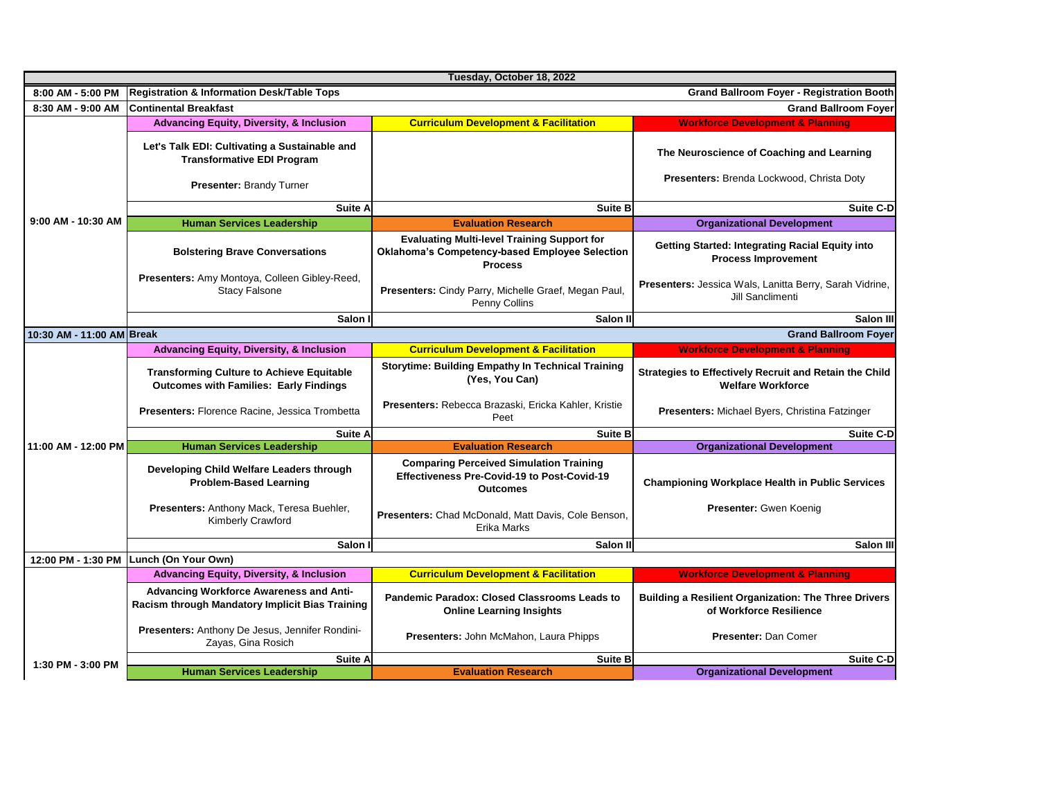| Tuesday, October 18, 2022 |                                                                                                           |                                                                                                                         |                                                                                        |  |  |  |  |
|---------------------------|-----------------------------------------------------------------------------------------------------------|-------------------------------------------------------------------------------------------------------------------------|----------------------------------------------------------------------------------------|--|--|--|--|
| 8:00 AM - 5:00 PM         | <b>Grand Ballroom Foyer - Registration Booth</b><br><b>Registration &amp; Information Desk/Table Tops</b> |                                                                                                                         |                                                                                        |  |  |  |  |
| 8:30 AM - 9:00 AM         | <b>Continental Breakfast</b><br><b>Grand Ballroom Fover</b>                                               |                                                                                                                         |                                                                                        |  |  |  |  |
|                           | <b>Advancing Equity, Diversity, &amp; Inclusion</b>                                                       | <b>Curriculum Development &amp; Facilitation</b>                                                                        | <b>Workforce Development &amp; Planning</b>                                            |  |  |  |  |
|                           | Let's Talk EDI: Cultivating a Sustainable and<br><b>Transformative EDI Program</b>                        |                                                                                                                         | The Neuroscience of Coaching and Learning                                              |  |  |  |  |
|                           | Presenter: Brandy Turner                                                                                  |                                                                                                                         | Presenters: Brenda Lockwood, Christa Doty                                              |  |  |  |  |
|                           | Suite A                                                                                                   | <b>Suite B</b>                                                                                                          | <b>Suite C-D</b>                                                                       |  |  |  |  |
| 9:00 AM - 10:30 AM        | <b>Human Services Leadership</b>                                                                          | <b>Evaluation Research</b>                                                                                              | <b>Organizational Development</b>                                                      |  |  |  |  |
|                           | <b>Bolstering Brave Conversations</b>                                                                     | <b>Evaluating Multi-level Training Support for</b><br>Oklahoma's Competency-based Employee Selection<br><b>Process</b>  | <b>Getting Started: Integrating Racial Equity into</b><br><b>Process Improvement</b>   |  |  |  |  |
|                           | Presenters: Amy Montoya, Colleen Gibley-Reed,<br><b>Stacy Falsone</b>                                     | Presenters: Cindy Parry, Michelle Graef, Megan Paul,<br>Penny Collins                                                   | Presenters: Jessica Wals, Lanitta Berry, Sarah Vidrine,<br>Jill Sanclimenti            |  |  |  |  |
|                           | Salon I                                                                                                   | Salon II                                                                                                                | Salon III                                                                              |  |  |  |  |
| 10:30 AM - 11:00 AM Break |                                                                                                           |                                                                                                                         | <b>Grand Ballroom Foyer</b>                                                            |  |  |  |  |
|                           | <b>Advancing Equity, Diversity, &amp; Inclusion</b>                                                       | <b>Curriculum Development &amp; Facilitation</b>                                                                        | <b>Workforce Development &amp; Planning</b>                                            |  |  |  |  |
|                           | <b>Transforming Culture to Achieve Equitable</b><br><b>Outcomes with Families: Early Findings</b>         | <b>Storytime: Building Empathy In Technical Training</b><br>(Yes, You Can)                                              | Strategies to Effectively Recruit and Retain the Child<br><b>Welfare Workforce</b>     |  |  |  |  |
|                           | Presenters: Florence Racine, Jessica Trombetta                                                            | Presenters: Rebecca Brazaski, Ericka Kahler, Kristie<br>Peet                                                            | Presenters: Michael Byers, Christina Fatzinger                                         |  |  |  |  |
|                           | Suite A                                                                                                   | <b>Suite B</b>                                                                                                          | <b>Suite C-D</b>                                                                       |  |  |  |  |
| 11:00 AM - 12:00 PM       | <b>Human Services Leadership</b>                                                                          | <b>Evaluation Research</b>                                                                                              | <b>Organizational Development</b>                                                      |  |  |  |  |
|                           | Developing Child Welfare Leaders through<br><b>Problem-Based Learning</b>                                 | <b>Comparing Perceived Simulation Training</b><br><b>Effectiveness Pre-Covid-19 to Post-Covid-19</b><br><b>Outcomes</b> | <b>Championing Workplace Health in Public Services</b>                                 |  |  |  |  |
|                           | Presenters: Anthony Mack, Teresa Buehler,<br>Kimberly Crawford                                            | Presenters: Chad McDonald, Matt Davis, Cole Benson,<br>Erika Marks                                                      | Presenter: Gwen Koenig                                                                 |  |  |  |  |
|                           | Salon I<br>Salon II                                                                                       |                                                                                                                         | Salon III                                                                              |  |  |  |  |
| 12:00 PM - 1:30 PM        | Lunch (On Your Own)                                                                                       |                                                                                                                         |                                                                                        |  |  |  |  |
|                           | <b>Advancing Equity, Diversity, &amp; Inclusion</b>                                                       | <b>Curriculum Development &amp; Facilitation</b>                                                                        | <b>Workforce Development &amp; Planning</b>                                            |  |  |  |  |
|                           | <b>Advancing Workforce Awareness and Anti-</b><br>Racism through Mandatory Implicit Bias Training         | Pandemic Paradox: Closed Classrooms Leads to<br><b>Online Learning Insights</b>                                         | <b>Building a Resilient Organization: The Three Drivers</b><br>of Workforce Resilience |  |  |  |  |
|                           | Presenters: Anthony De Jesus, Jennifer Rondini-<br>Zayas, Gina Rosich                                     | <b>Presenters: John McMahon, Laura Phipps</b>                                                                           | Presenter: Dan Comer                                                                   |  |  |  |  |
| 1:30 PM - 3:00 PM         | <b>Suite A</b>                                                                                            | <b>Suite B</b>                                                                                                          | <b>Suite C-D</b>                                                                       |  |  |  |  |
|                           | <b>Human Services Leadership</b>                                                                          | <b>Evaluation Research</b>                                                                                              | <b>Organizational Development</b>                                                      |  |  |  |  |